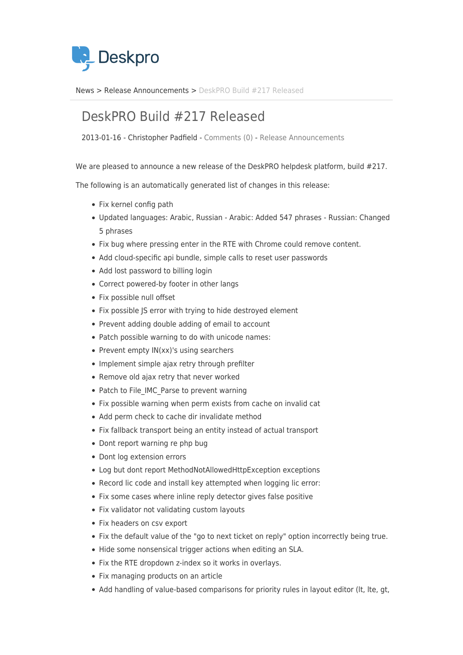

[News](https://support.deskpro.com/da/news) > [Release Announcements](https://support.deskpro.com/da/news/release-announcements) > [DeskPRO Build #217 Released](https://support.deskpro.com/da/news/posts/deskpro-build-217-released)

## DeskPRO Build #217 Released

2013-01-16 - Christopher Padfield - [Comments \(0\)](#page--1-0) - [Release Announcements](https://support.deskpro.com/da/news/release-announcements)

We are pleased to announce a new release of the DeskPRO helpdesk platform, build #217.

The following is an automatically generated list of changes in this release:

- Fix kernel config path
- Updated languages: Arabic, Russian Arabic: Added 547 phrases Russian: Changed 5 phrases
- Fix bug where pressing enter in the RTE with Chrome could remove content.
- Add cloud-specific api bundle, simple calls to reset user passwords
- Add lost password to billing login
- Correct powered-by footer in other langs
- Fix possible null offset
- Fix possible JS error with trying to hide destroyed element
- Prevent adding double adding of email to account
- Patch possible warning to do with unicode names:
- Prevent empty IN(xx)'s using searchers
- Implement simple ajax retry through prefilter
- Remove old ajax retry that never worked
- Patch to File IMC Parse to prevent warning
- Fix possible warning when perm exists from cache on invalid cat
- Add perm check to cache dir invalidate method
- Fix fallback transport being an entity instead of actual transport
- Dont report warning re php bug
- Dont log extension errors
- Log but dont report MethodNotAllowedHttpException exceptions
- Record lic code and install key attempted when logging lic error:
- Fix some cases where inline reply detector gives false positive
- Fix validator not validating custom layouts
- Fix headers on csy export
- Fix the default value of the "go to next ticket on reply" option incorrectly being true.
- Hide some nonsensical trigger actions when editing an SLA.
- Fix the RTE dropdown z-index so it works in overlays.
- Fix managing products on an article
- Add handling of value-based comparisons for priority rules in layout editor (It, Ite, gt,